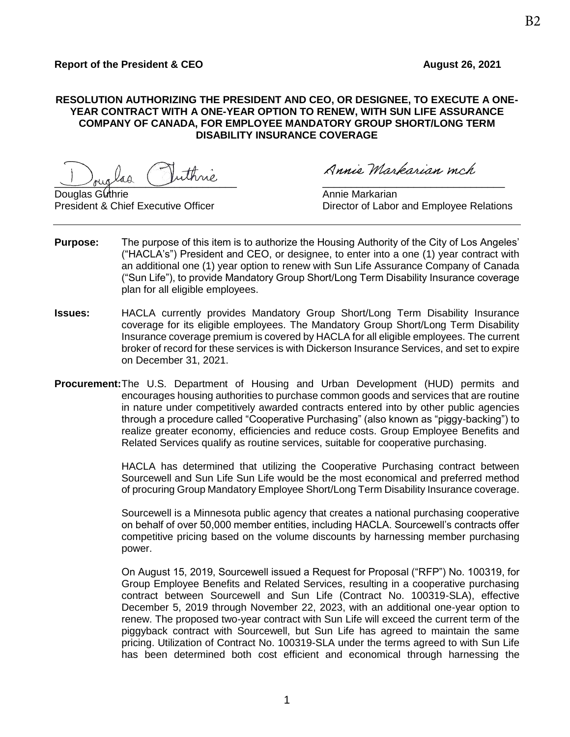## **RESOLUTION AUTHORIZING THE PRESIDENT AND CEO, OR DESIGNEE, TO EXECUTE A ONE-YEAR CONTRACT WITH A ONE-YEAR OPTION TO RENEW, WITH SUN LIFE ASSURANCE COMPANY OF CANADA, FOR EMPLOYEE MANDATORY GROUP SHORT/LONG TERM DISABILITY INSURANCE COVERAGE**

 $\cup$ vuglad

Douglas Guthrie Annie Markarian (Communist Communist Communist Communist Communist Communist Communist Communist Co

Annie Markarian mch

President & Chief Executive Officer **Director of Labor and Employee Relations** 

- **Purpose:** The purpose of this item is to authorize the Housing Authority of the City of Los Angeles' ("HACLA's") President and CEO, or designee, to enter into a one (1) year contract with an additional one (1) year option to renew with Sun Life Assurance Company of Canada ("Sun Life"), to provide Mandatory Group Short/Long Term Disability Insurance coverage plan for all eligible employees.
- **Issues:** HACLA currently provides Mandatory Group Short/Long Term Disability Insurance coverage for its eligible employees. The Mandatory Group Short/Long Term Disability Insurance coverage premium is covered by HACLA for all eligible employees. The current broker of record for these services is with Dickerson Insurance Services, and set to expire on December 31, 2021.
- **Procurement:**The U.S. Department of Housing and Urban Development (HUD) permits and encourages housing authorities to purchase common goods and services that are routine in nature under competitively awarded contracts entered into by other public agencies through a procedure called "Cooperative Purchasing" (also known as "piggy-backing") to realize greater economy, efficiencies and reduce costs. Group Employee Benefits and Related Services qualify as routine services, suitable for cooperative purchasing.

HACLA has determined that utilizing the Cooperative Purchasing contract between Sourcewell and Sun Life Sun Life would be the most economical and preferred method of procuring Group Mandatory Employee Short/Long Term Disability Insurance coverage.

Sourcewell is a Minnesota public agency that creates a national purchasing cooperative on behalf of over 50,000 member entities, including HACLA. Sourcewell's contracts offer competitive pricing based on the volume discounts by harnessing member purchasing power.

On August 15, 2019, Sourcewell issued a Request for Proposal ("RFP") No. 100319, for Group Employee Benefits and Related Services, resulting in a cooperative purchasing contract between Sourcewell and Sun Life (Contract No. 100319-SLA), effective December 5, 2019 through November 22, 2023, with an additional one-year option to renew. The proposed two-year contract with Sun Life will exceed the current term of the piggyback contract with Sourcewell, but Sun Life has agreed to maintain the same pricing. Utilization of Contract No. 100319-SLA under the terms agreed to with Sun Life has been determined both cost efficient and economical through harnessing the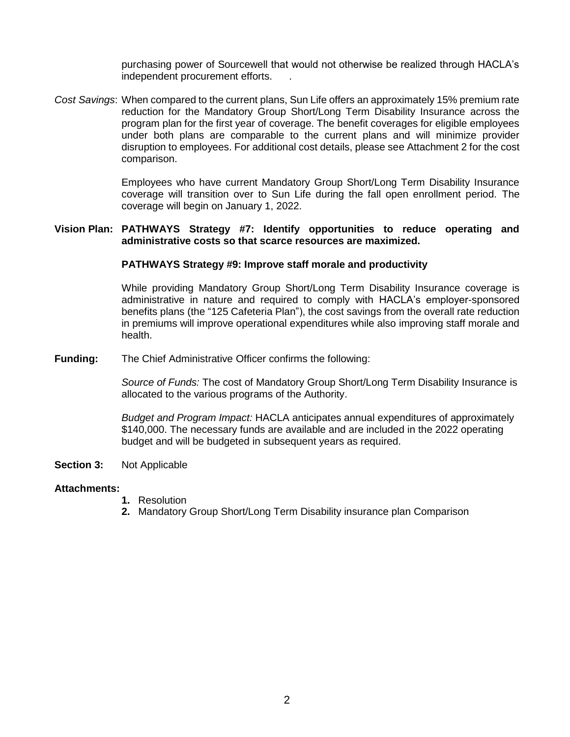purchasing power of Sourcewell that would not otherwise be realized through HACLA's independent procurement efforts. .

*Cost Savings*: When compared to the current plans, Sun Life offers an approximately 15% premium rate reduction for the Mandatory Group Short/Long Term Disability Insurance across the program plan for the first year of coverage. The benefit coverages for eligible employees under both plans are comparable to the current plans and will minimize provider disruption to employees. For additional cost details, please see Attachment 2 for the cost comparison.

> Employees who have current Mandatory Group Short/Long Term Disability Insurance coverage will transition over to Sun Life during the fall open enrollment period. The coverage will begin on January 1, 2022.

#### **Vision Plan: PATHWAYS Strategy #7: Identify opportunities to reduce operating and administrative costs so that scarce resources are maximized.**

### **PATHWAYS Strategy #9: Improve staff morale and productivity**

While providing Mandatory Group Short/Long Term Disability Insurance coverage is administrative in nature and required to comply with HACLA's employer-sponsored benefits plans (the "125 Cafeteria Plan"), the cost savings from the overall rate reduction in premiums will improve operational expenditures while also improving staff morale and health.

**Funding:** The Chief Administrative Officer confirms the following:

*Source of Funds:* The cost of Mandatory Group Short/Long Term Disability Insurance is allocated to the various programs of the Authority.

*Budget and Program Impact:* HACLA anticipates annual expenditures of approximately \$140,000. The necessary funds are available and are included in the 2022 operating budget and will be budgeted in subsequent years as required.

**Section 3:** Not Applicable

### **Attachments:**

- **1.** Resolution
- **2.** Mandatory Group Short/Long Term Disability insurance plan Comparison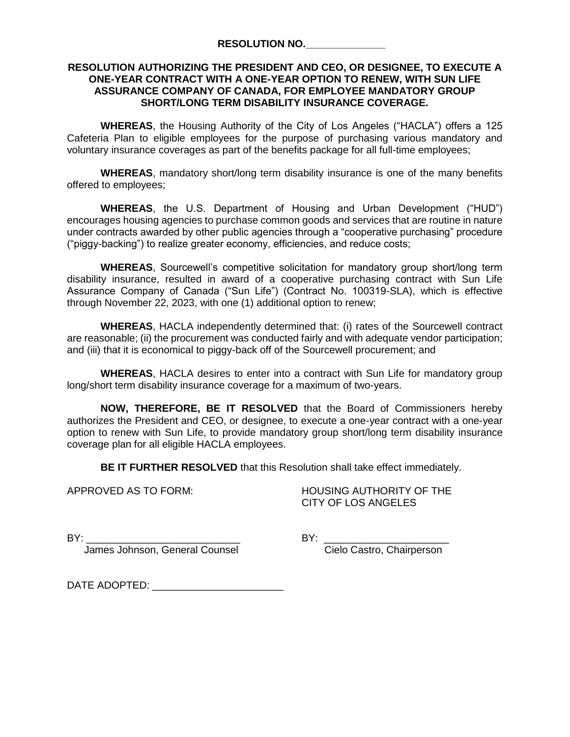## **RESOLUTION AUTHORIZING THE PRESIDENT AND CEO, OR DESIGNEE, TO EXECUTE A ONE-YEAR CONTRACT WITH A ONE-YEAR OPTION TO RENEW, WITH SUN LIFE ASSURANCE COMPANY OF CANADA, FOR EMPLOYEE MANDATORY GROUP SHORT/LONG TERM DISABILITY INSURANCE COVERAGE.**

**WHEREAS**, the Housing Authority of the City of Los Angeles ("HACLA") offers a 125 Cafeteria Plan to eligible employees for the purpose of purchasing various mandatory and voluntary insurance coverages as part of the benefits package for all full-time employees;

**WHEREAS**, mandatory short/long term disability insurance is one of the many benefits offered to employees;

**WHEREAS**, the U.S. Department of Housing and Urban Development ("HUD") encourages housing agencies to purchase common goods and services that are routine in nature under contracts awarded by other public agencies through a "cooperative purchasing" procedure ("piggy-backing") to realize greater economy, efficiencies, and reduce costs;

**WHEREAS**, Sourcewell's competitive solicitation for mandatory group short/long term disability insurance, resulted in award of a cooperative purchasing contract with Sun Life Assurance Company of Canada ("Sun Life") (Contract No. 100319-SLA), which is effective through November 22, 2023, with one (1) additional option to renew;

**WHEREAS**, HACLA independently determined that: (i) rates of the Sourcewell contract are reasonable; (ii) the procurement was conducted fairly and with adequate vendor participation; and (iii) that it is economical to piggy-back off of the Sourcewell procurement; and

**WHEREAS**, HACLA desires to enter into a contract with Sun Life for mandatory group long/short term disability insurance coverage for a maximum of two-years.

**NOW, THEREFORE, BE IT RESOLVED** that the Board of Commissioners hereby authorizes the President and CEO, or designee, to execute a one-year contract with a one-year option to renew with Sun Life, to provide mandatory group short/long term disability insurance coverage plan for all eligible HACLA employees.

**BE IT FURTHER RESOLVED** that this Resolution shall take effect immediately.

APPROVED AS TO FORM: HOUSING AUTHORITY OF THE CITY OF LOS ANGELES

James Johnson, General Counsel Cielo Castro, Chairperson

BY: \_\_\_\_\_\_\_\_\_\_\_\_\_\_\_\_\_\_\_\_\_\_\_\_\_\_\_ BY: \_\_\_\_\_\_\_\_\_\_\_\_\_\_\_\_\_\_\_\_\_\_

DATE ADOPTED:  $\blacksquare$